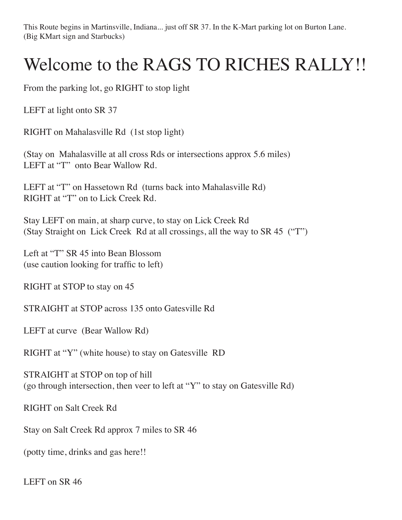This Route begins in Martinsville, Indiana... just off SR 37. In the K-Mart parking lot on Burton Lane. (Big KMart sign and Starbucks)

## Welcome to the RAGS TO RICHES RALLY!!

From the parking lot, go RIGHT to stop light

LEFT at light onto SR 37

RIGHT on Mahalasville Rd (1st stop light)

(Stay on Mahalasville at all cross Rds or intersections approx 5.6 miles) LEFT at "T" onto Bear Wallow Rd.

LEFT at "T" on Hassetown Rd (turns back into Mahalasville Rd) RIGHT at "T" on to Lick Creek Rd.

Stay LEFT on main, at sharp curve, to stay on Lick Creek Rd (Stay Straight on Lick Creek Rd at all crossings, all the way to SR 45 ("T")

Left at "T" SR 45 into Bean Blossom (use caution looking for traffic to left)

RIGHT at STOP to stay on 45

STRAIGHT at STOP across 135 onto Gatesville Rd

LEFT at curve (Bear Wallow Rd)

RIGHT at "Y" (white house) to stay on Gatesville RD

STRAIGHT at STOP on top of hill (go through intersection, then veer to left at "Y" to stay on Gatesville Rd)

RIGHT on Salt Creek Rd

Stay on Salt Creek Rd approx 7 miles to SR 46

(potty time, drinks and gas here!!

LEFT on SR 46